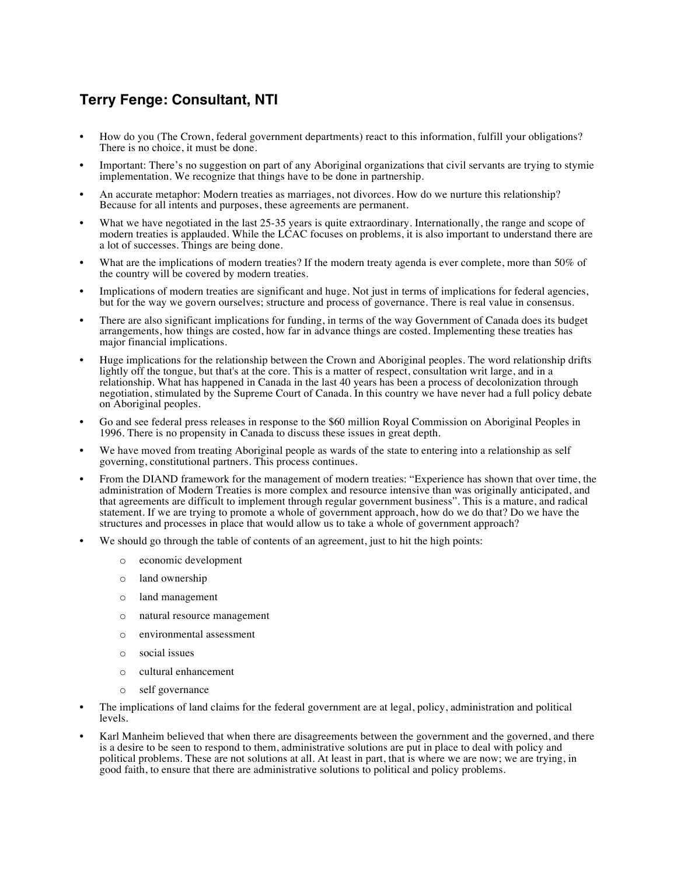## **Terry Fenge: Consultant, NTI**

- How do you (The Crown, federal government departments) react to this information, fulfill your obligations? There is no choice, it must be done.
- Important: There's no suggestion on part of any Aboriginal organizations that civil servants are trying to stymie implementation. We recognize that things have to be done in partnership.
- An accurate metaphor: Modern treaties as marriages, not divorces. How do we nurture this relationship? Because for all intents and purposes, these agreements are permanent.
- What we have negotiated in the last 25-35 years is quite extraordinary. Internationally, the range and scope of modern treaties is applauded. While the LCAC focuses on problems, it is also important to understand there are a lot of successes. Things are being done.
- What are the implications of modern treaties? If the modern treaty agenda is ever complete, more than 50% of the country will be covered by modern treaties.
- Implications of modern treaties are significant and huge. Not just in terms of implications for federal agencies, but for the way we govern ourselves; structure and process of governance. There is real value in consensus.
- There are also significant implications for funding, in terms of the way Government of Canada does its budget arrangements, how things are costed, how far in advance things are costed. Implementing these treaties has major financial implications.
- Huge implications for the relationship between the Crown and Aboriginal peoples. The word relationship drifts lightly off the tongue, but that's at the core. This is a matter of respect, consultation writ large, and in a relationship. What has happened in Canada in the last 40 years has been a process of decolonization through negotiation, stimulated by the Supreme Court of Canada. In this country we have never had a full policy debate on Aboriginal peoples.
- Go and see federal press releases in response to the \$60 million Royal Commission on Aboriginal Peoples in 1996. There is no propensity in Canada to discuss these issues in great depth.
- We have moved from treating Aboriginal people as wards of the state to entering into a relationship as self governing, constitutional partners. This process continues.
- From the DIAND framework for the management of modern treaties: "Experience has shown that over time, the administration of Modern Treaties is more complex and resource intensive than was originally anticipated, and that agreements are difficult to implement through regular government business". This is a mature, and radical statement. If we are trying to promote a whole of government approach, how do we do that? Do we have the structures and processes in place that would allow us to take a whole of government approach?
- We should go through the table of contents of an agreement, just to hit the high points:
	- o economic development
	- o land ownership
	- o land management
	- o natural resource management
	- o environmental assessment
	- o social issues
	- o cultural enhancement
	- o self governance
- The implications of land claims for the federal government are at legal, policy, administration and political levels.
- Karl Manheim believed that when there are disagreements between the government and the governed, and there is a desire to be seen to respond to them, administrative solutions are put in place to deal with policy and political problems. These are not solutions at all. At least in part, that is where we are now; we are trying, in good faith, to ensure that there are administrative solutions to political and policy problems.